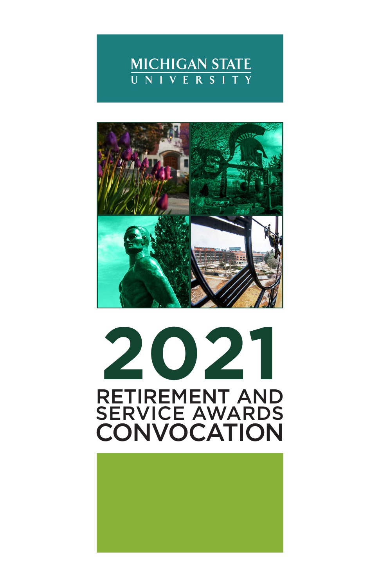



# RETIREMENT AND SERVICE AWARDS **CONVOCATION 2021**

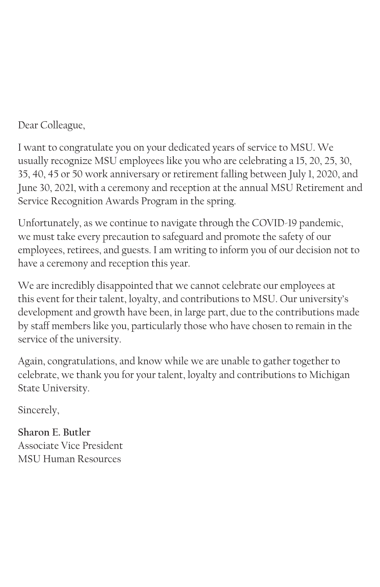Dear Colleague,

I want to congratulate you on your dedicated years of service to MSU. We usually recognize MSU employees like you who are celebrating a 15, 20, 25, 30, 35, 40, 45 or 50 work anniversary or retirement falling between July 1, 2020, and June 30, 2021, with a ceremony and reception at the annual MSU Retirement and Service Recognition Awards Program in the spring.

Unfortunately, as we continue to navigate through the COVID-19 pandemic, we must take every precaution to safeguard and promote the safety of our employees, retirees, and guests. I am writing to inform you of our decision not to have a ceremony and reception this year.

We are incredibly disappointed that we cannot celebrate our employees at this event for their talent, loyalty, and contributions to MSU. Our university's development and growth have been, in large part, due to the contributions made by staff members like you, particularly those who have chosen to remain in the service of the university.

Again, congratulations, and know while we are unable to gather together to celebrate, we thank you for your talent, loyalty and contributions to Michigan State University.

Sincerely,

**Sharon E. Butler** Associate Vice President MSU Human Resources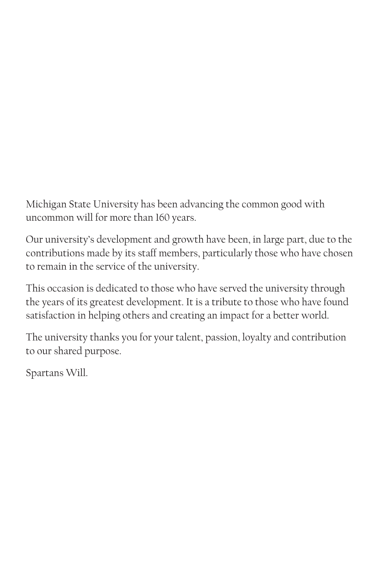Michigan State University has been advancing the common good with uncommon will for more than 160 years.

Our university's development and growth have been, in large part, due to the contributions made by its staff members, particularly those who have chosen to remain in the service of the university.

This occasion is dedicated to those who have served the university through the years of its greatest development. It is a tribute to those who have found satisfaction in helping others and creating an impact for a better world.

The university thanks you for your talent, passion, loyalty and contribution to our shared purpose.

Spartans Will.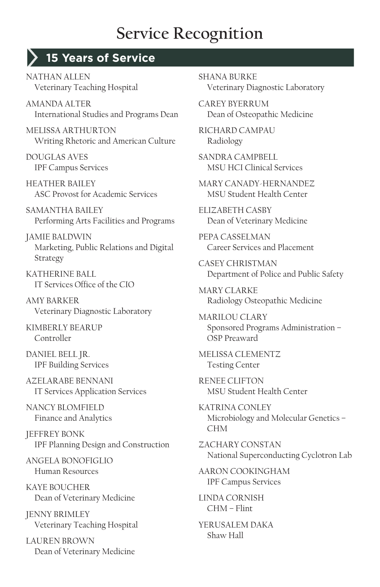#### **15 Years of Service**

NATHAN ALLEN Veterinary Teaching Hospital

AMANDA ALTER International Studies and Programs Dean

MELISSA ARTHURTON Writing Rhetoric and American Culture

DOUGLAS AVES IPF Campus Services

HEATHER BAILEY ASC Provost for Academic Services

SAMANTHA BAILEY Performing Arts Facilities and Programs

JAMIE BALDWIN Marketing, Public Relations and Digital Strategy

KATHERINE BALL IT Services Office of the CIO

AMY BARKER Veterinary Diagnostic Laboratory

KIMBERLY BEARUP Controller

DANIEL BELL JR. IPF Building Services

AZELARABE BENNANI IT Services Application Services

NANCY BLOMFIFLD Finance and Analytics

JEFFREY BONK IPF Planning Design and Construction

ANGELA BONOFIGLIO Human Resources

KAYE BOUCHER Dean of Veterinary Medicine

JENNY BRIMLEY Veterinary Teaching Hospital

LAUREN BROWN Dean of Veterinary Medicine SHANA BURKE Veterinary Diagnostic Laboratory

CAREY BYERRUM Dean of Osteopathic Medicine

RICHARD CAMPAU Radiology

SANDRA CAMPBELL MSU HCI Clinical Services

MARY CANADY-HERNANDEZ MSU Student Health Center

ELIZABETH CASBY Dean of Veterinary Medicine

PEPA CASSELMAN Career Services and Placement

CASEY CHRISTMAN Department of Police and Public Safety

MARY CLARKE Radiology Osteopathic Medicine

MARILOU CLARY Sponsored Programs Administration – OSP Preaward

MELISSA CLEMENTZ Testing Center

RENEE CLIFTON MSU Student Health Center

KATRINA CONLEY Microbiology and Molecular Genetics – CHM

ZACHARY CONSTAN National Superconducting Cyclotron Lab

AARON COOKINGHAM IPF Campus Services

LINDA CORNISH CHM – Flint

YERUSALEM DAKA Shaw Hall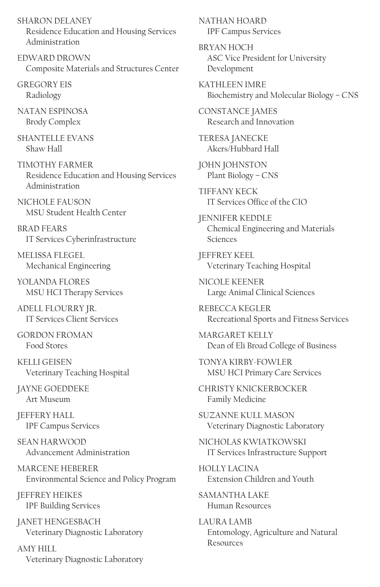SHARON DELANEY Residence Education and Housing Services Administration

EDWARD DROWN Composite Materials and Structures Center

GREGORY EIS Radiology

NATAN ESPINOSA Brody Complex

SHANTELLE EVANS Shaw Hall

TIMOTHY FARMER Residence Education and Housing Services Administration

NICHOLE FAUSON MSU Student Health Center

BRAD FEARS IT Services Cyberinfrastructure

MELISSA FLEGEL Mechanical Engineering

YOLANDA FLORES MSU HCI Therapy Services

ADELL FLOURRY JR. IT Services Client Services

GORDON FROMAN Food Stores

KELLI GEISEN Veterinary Teaching Hospital

JAYNE GOEDDEKE Art Museum

JEFFERY HALL IPF Campus Services

SEAN HARWOOD Advancement Administration

MARCENE HEBERER Environmental Science and Policy Program

JEFFREY HEIKES IPF Building Services

JANET HENGESBACH Veterinary Diagnostic Laboratory

AMY HILL Veterinary Diagnostic Laboratory NATHAN HOARD IPF Campus Services

BRYAN HOCH ASC Vice President for University Development

KATHLEEN IMRE Biochemistry and Molecular Biology – CNS

CONSTANCE JAMES Research and Innovation

TERESA JANECKE Akers/Hubbard Hall

JOHN JOHNSTON Plant Biology – CNS

TIFFANY KECK IT Services Office of the CIO

JENNIFER KEDDLE Chemical Engineering and Materials Sciences

JEFFREY KEEL Veterinary Teaching Hospital

NICOI E KEENER Large Animal Clinical Sciences

REBECCA KEGLER Recreational Sports and Fitness Services

MARGARET KELLY Dean of Eli Broad College of Business

TONYA KIRBY-FOWLER MSU HCI Primary Care Services

CHRISTY KNICKERBOCKER Family Medicine

SUZANNE KULL MASON Veterinary Diagnostic Laboratory

NICHOLAS KWIATKOWSKI IT Services Infrastructure Support

HOLLY LACINA Extension Children and Youth

SAMANTHA LAKE Human Resources

LAURA LAMB Entomology, Agriculture and Natural Resources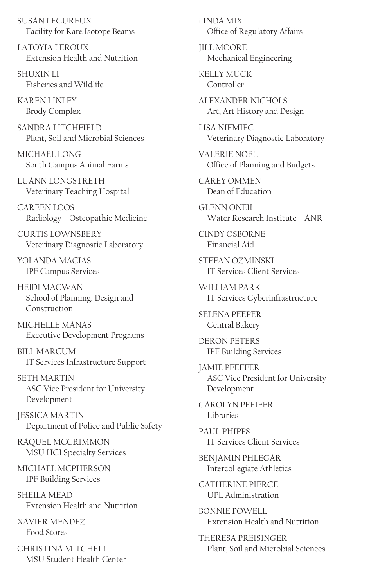SUSAN LECUREUX Facility for Rare Isotope Beams

LATOYIA LEROUX Extension Health and Nutrition

SHUXIN LI Fisheries and Wildlife

KAREN LINLEY Brody Complex

SANDRA LITCHFIELD Plant, Soil and Microbial Sciences

MICHAEL LONG South Campus Animal Farms

LUANN LONGSTRETH Veterinary Teaching Hospital

CAREEN LOOS Radiology – Osteopathic Medicine

CURTIS LOWNSBERY Veterinary Diagnostic Laboratory

YOLANDA MACIAS IPF Campus Services

HEIDI MACWAN School of Planning, Design and Construction

MICHELLE MANAS Executive Development Programs

BILL MARCUM IT Services Infrastructure Support

SETH MARTIN ASC Vice President for University Development

JESSICA MARTIN Department of Police and Public Safety

RAQUEL MCCRIMMON MSU HCI Specialty Services

MICHAEL MCPHERSON IPF Building Services

SHEILA MEAD Extension Health and Nutrition

XAVIER MENDEZ Food Stores

CHRISTINA MITCHELL MSU Student Health Center LINDA MIX Office of Regulatory Affairs

JILL MOORE Mechanical Engineering

KELLY MUCK Controller

ALEXANDER NICHOLS Art, Art History and Design

LISA NIEMIEC Veterinary Diagnostic Laboratory

VALERIE NOEL Office of Planning and Budgets

CAREY OMMEN Dean of Education

GLENN ONEIL Water Research Institute – ANR

CINDY OSBORNE Financial Aid

STEFAN OZMINSKI IT Services Client Services

WILLIAM PARK IT Services Cyberinfrastructure

SELENA PEEPER Central Bakery

DERON PETERS IPF Building Services

JAMIE PFEFFER ASC Vice President for University Development

CAROLYN PFEIFER Libraries

PAUL PHIPPS IT Services Client Services

BENJAMIN PHLEGAR Intercollegiate Athletics

CATHERINE PIERCE UPL Administration

BONNIE POWELL Extension Health and Nutrition

THERESA PREISINGER Plant, Soil and Microbial Sciences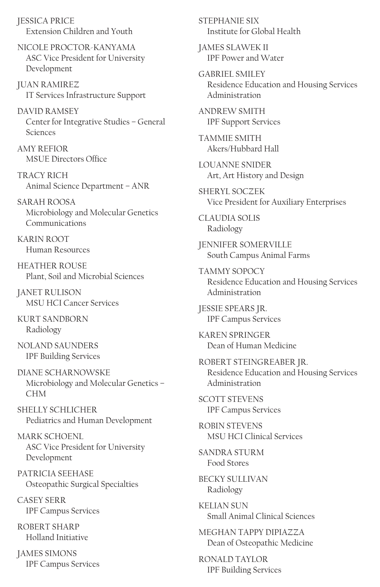JESSICA PRICE Extension Children and Youth

NICOLE PROCTOR-KANYAMA ASC Vice President for University Development

JUAN RAMIREZ IT Services Infrastructure Support

DAVID RAMSEY Center for Integrative Studies – General Sciences

AMY REFIOR MSUE Directors Office

TRACY RICH Animal Science Department – ANR

SARAH ROOSA Microbiology and Molecular Genetics Communications

KARIN ROOT Human Resources

HEATHER ROUSE Plant, Soil and Microbial Sciences

JANET RULISON MSU HCI Cancer Services

KURT SANDBORN Radiology

NOLAND SAUNDERS IPF Building Services

DIANE SCHARNOWSKE Microbiology and Molecular Genetics – CHM

SHELLY SCHLICHER Pediatrics and Human Development

MARK SCHOENL ASC Vice President for University Development

PATRICIA SEEHASE Osteopathic Surgical Specialties

CASEY SERR IPF Campus Services

ROBERT SHARP Holland Initiative

JAMES SIMONS IPF Campus Services STEPHANIE SIX Institute for Global Health

JAMES SLAWEK II IPF Power and Water

GABRIEL SMILEY Residence Education and Housing Services Administration

ANDREW SMITH IPF Support Services

TAMMIE SMITH Akers/Hubbard Hall

LOUANNE SNIDER Art, Art History and Design

SHERYL SOCZEK Vice President for Auxiliary Enterprises

CLAUDIA SOLIS Radiology

JENNIFER SOMERVILLE South Campus Animal Farms

TAMMY SOPOCY Residence Education and Housing Services Administration

JESSIE SPEARS JR. IPF Campus Services

KAREN SPRINGER Dean of Human Medicine

ROBERT STEINGREABER JR. Residence Education and Housing Services Administration

SCOTT STEVENS IPF Campus Services

ROBIN STEVENS MSU HCI Clinical Services

SANDRA STURM Food Stores

BECKY SULLIVAN Radiology

KELIAN SUN Small Animal Clinical Sciences

MEGHAN TAPPY DIPIAZZA Dean of Osteopathic Medicine

RONALD TAYLOR IPF Building Services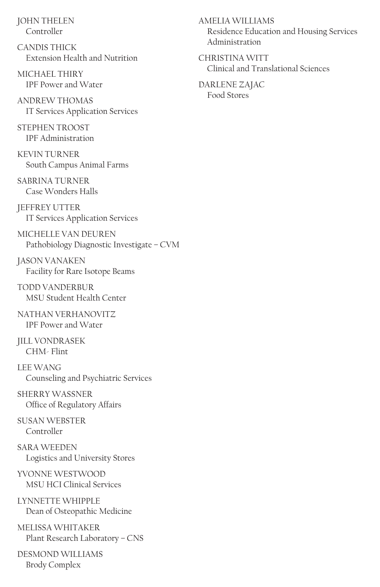JOHN THELEN Controller

CANDIS THICK Extension Health and Nutrition

MICHAEL THIRY IPF Power and Water

ANDREW THOMAS IT Services Application Services

STEPHEN TROOST IPF Administration

KEVIN TURNER South Campus Animal Farms

SABRINA TURNER Case Wonders Halls

JEFFREY UTTER IT Services Application Services

MICHELLE VAN DEUREN Pathobiology Diagnostic Investigate – CVM

JASON VANAKEN Facility for Rare Isotope Beams

TODD VANDERBUR MSU Student Health Center

NATHAN VERHANOVITZ IPF Power and Water

JILL VONDRASEK CHM- Flint

LEE WANG Counseling and Psychiatric Services

SHERRY WASSNER Office of Regulatory Affairs

SUSAN WEBSTER Controller

SARA WEEDEN Logistics and University Stores

YVONNE WESTWOOD MSU HCI Clinical Services

LYNNETTE WHIPPLE Dean of Osteopathic Medicine

MELISSA WHITAKER Plant Research Laboratory – CNS

DESMOND WILLIAMS Brody Complex

AMELIA WILLIAMS Residence Education and Housing Services Administration

CHRISTINA WITT Clinical and Translational Sciences

DARLENE ZAJAC Food Stores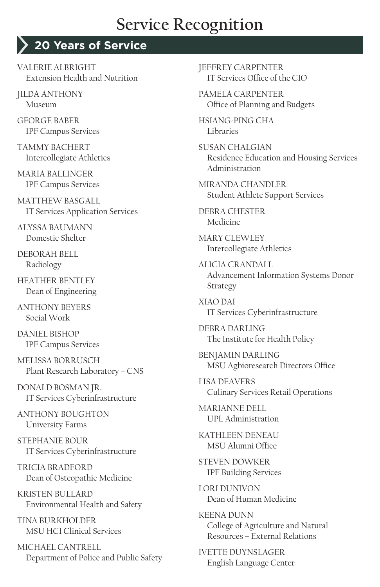#### **20 Years of Service**

VALERIE ALBRIGHT Extension Health and Nutrition

JILDA ANTHONY Museum

GEORGE BABER IPF Campus Services

TAMMY BACHERT Intercollegiate Athletics

MARIA BALLINGER IPF Campus Services

MATTHEW BASGALL IT Services Application Services

ALYSSA BAUMANN Domestic Shelter

DEBORAH BELL Radiology

HEATHER BENTLEY Dean of Engineering

ANTHONY BEYERS Social Work

DANIEL BISHOP IPF Campus Services

MELISSA BORRUSCH Plant Research Laboratory – CNS

DONALD BOSMAN JR. IT Services Cyberinfrastructure

ANTHONY BOUGHTON University Farms

STEPHANIE BOUR IT Services Cyberinfrastructure

TRICIA BRADFORD Dean of Osteopathic Medicine

KRISTEN BULLARD Environmental Health and Safety

TINA BURKHOLDER MSU HCI Clinical Services

MICHAEL CANTRELL Department of Police and Public Safety JEFFREY CARPENTER IT Services Office of the CIO

PAMELA CARPENTER Office of Planning and Budgets

HSIANG-PING CHA Libraries

SUSAN CHALGIAN Residence Education and Housing Services Administration

MIRANDA CHANDLER Student Athlete Support Services

DEBRA CHESTER Medicine

MARY CLEWLEY Intercollegiate Athletics

ALICIA CRANDALL Advancement Information Systems Donor Strategy

XIAO DAI IT Services Cyberinfrastructure

DEBRA DARLING The Institute for Health Policy

BENJAMIN DARLING MSU Agbioresearch Directors Office

LISA DEAVERS Culinary Services Retail Operations

MARIANNE DELL UPL Administration

KATHI FFN DENFAU MSU Alumni Office

STEVEN DOWKER IPF Building Services

LORI DUNIVON Dean of Human Medicine

KEENA DUNN College of Agriculture and Natural Resources – External Relations

IVETTE DUYNSLAGER English Language Center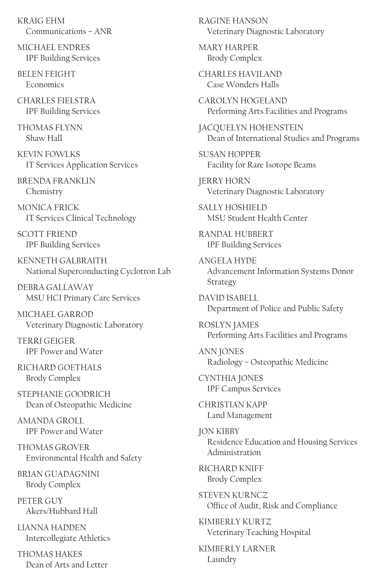KRAIG EHM Communications – ANR

MICHAEL ENDRES IPF Building Services

BELEN FEIGHT **Economics** 

CHARI ES FIFI STRA IPF Building Services

THOMAS FI YNN Shaw Hall

KEVIN FOWLKS IT Services Application Services

BRENDA FRANKLIN Chemistry

MONICA FRICK IT Services Clinical Technology

SCOTT FRIEND IPF Building Services

KENNETH GALBRAITH National Superconducting Cyclotron Lab

DEBRA GALLAWAY MSU HCI Primary Care Services

MICHAEL GARROD Veterinary Diagnostic Laboratory

TERRI GEIGER IPF Power and Water

RICHARD GOETHALS Brody Complex

STEPHANIE GOODRICH Dean of Osteopathic Medicine

AMANDA GROLL IPF Power and Water

THOMAS GROVER Environmental Health and Safety

BRIAN GUADAGNINI Brody Complex

PETER GUY Akers/Hubbard Hall

LIANNA HADDEN Intercollegiate Athletics

THOMAS HAKES Dean of Arts and Letter RAGINE HANSON Veterinary Diagnostic Laboratory

MARY HARPER Brody Complex

CHARLES HAVILAND Case Wonders Halls

CAROLYN HOGELAND Performing Arts Facilities and Programs

JACQUELYN HOHENSTEIN Dean of International Studies and Programs

SUSAN HOPPER Facility for Rare Isotope Beams

JERRY HORN Veterinary Diagnostic Laboratory

SALLY HOSHIELD MSU Student Health Center

RANDAL HUBBERT IPF Building Services

ANGELA HYDE Advancement Information Systems Donor Strategy

DAVID ISARELL Department of Police and Public Safety

ROSLYN JAMES Performing Arts Facilities and Programs

ANN JONES Radiology – Osteopathic Medicine

CYNTHIA JONES IPF Campus Services

CHRISTIAN KAPP Land Management

JON KIBBY Residence Education and Housing Services Administration

RICHARD KNIFF Brody Complex

STEVEN KURNCZ Office of Audit, Risk and Compliance

KIMBERLY KURTZ Veterinary Teaching Hospital

KIMBERLY LARNER Laundry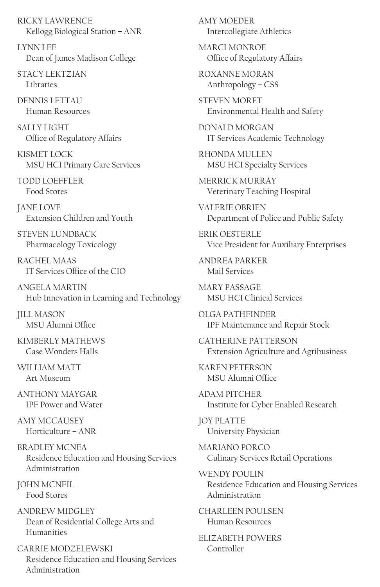RICKY LAWRENCE Kellogg Biological Station – ANR

LYNN LEE Dean of James Madison College

STACY LEKTZIAN Libraries

DENNIS LETTAU Human Resources

**SALLY LIGHT** Office of Regulatory Affairs

KISMET LOCK MSU HCI Primary Care Services

TODD LOEFFLER Food Stores

JANE LOVE Extension Children and Youth

STEVEN LUNDBACK Pharmacology Toxicology

RACHEL MAAS IT Services Office of the CIO

ANGELA MARTIN Hub Innovation in Learning and Technology

JILL MASON MSU Alumni Office

KIMBERLY MATHEWS Case Wonders Halls

WILLIAM MATT Art Museum

ANTHONY MAYGAR IPF Power and Water

AMY MCCAUSEY Horticulture – ANR

BRADLEY MCNEA Residence Education and Housing Services Administration

JOHN MCNEIL Food Stores

ANDREW MIDGLEY Dean of Residential College Arts and Humanities

CARRIE MODZELEWSKI Residence Education and Housing Services Administration

AMY MOEDER Intercollegiate Athletics

MARCI MONROE Office of Regulatory Affairs

ROXANNE MORAN Anthropology – CSS

STEVEN MORET Environmental Health and Safety

DONALD MORGAN IT Services Academic Technology

RHONDA MULLEN MSU HCI Specialty Services

MERRICK MURRAY Veterinary Teaching Hospital

VALERIE OBRIEN Department of Police and Public Safety

ERIK OESTERLE Vice President for Auxiliary Enterprises

ANDREA PARKER Mail Services

MARY PASSAGE MSU HCI Clinical Services

OLGA PATHFINDER IPF Maintenance and Repair Stock

CATHERINE PATTERSON Extension Agriculture and Agribusiness

KAREN PETERSON MSU Alumni Office

ADAM PITCHER Institute for Cyber Enabled Research

JOY PLATTE University Physician

MARIANO PORCO Culinary Services Retail Operations

WENDY POULIN Residence Education and Housing Services Administration

CHARI FFN POULSEN Human Resources

ELIZABETH POWERS Controller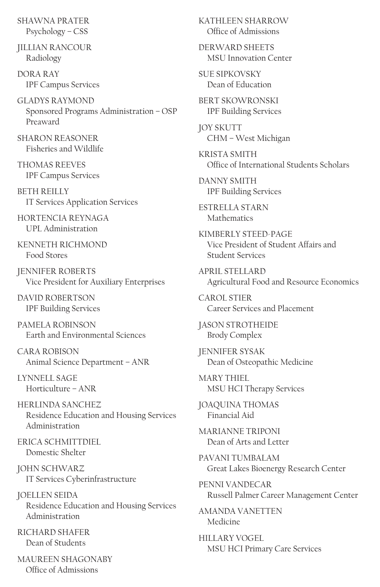SHAWNA PRATER Psychology – CSS

JILLIAN RANCOUR Radiology

DORA RAY IPF Campus Services

GLADYS RAYMOND Sponsored Programs Administration – OSP Preaward

SHARON REASONER Fisheries and Wildlife

THOMAS REEVES IPF Campus Services

**BETH REILLY** IT Services Application Services

HORTENCIA REYNAGA UPL Administration

KENNETH RICHMOND Food Stores

JENNIFER ROBERTS Vice President for Auxiliary Enterprises

DAVID ROBERTSON IPF Building Services

PAMELA ROBINSON Earth and Environmental Sciences

CARA ROBISON Animal Science Department – ANR

LYNNELL SAGE Horticulture – ANR

HERLINDA SANCHEZ Residence Education and Housing Services Administration

ERICA SCHMITTDIEL Domestic Shelter

JOHN SCHWARZ IT Services Cyberinfrastructure

JOELLEN SEIDA Residence Education and Housing Services Administration

RICHARD SHAFER Dean of Students

MAUREEN SHAGONABY Office of Admissions

KATHLEEN SHARROW Office of Admissions

DERWARD SHEETS MSU Innovation Center

SUE SIPKOVSKY Dean of Education

BERT SKOWRONSKI IPF Building Services

JOY SKUTT CHM – West Michigan

KRISTA SMITH Office of International Students Scholars

DANNY SMITH IPF Building Services

ESTRELLA STARN Mathematics

KIMBERLY STEED-PAGE Vice President of Student Affairs and Student Services

APRIL STELLARD Agricultural Food and Resource Economics

CAROL STIER Career Services and Placement

JASON STROTHEIDE Brody Complex

JENNIFER SYSAK Dean of Osteopathic Medicine

MARY THIEL MSU HCI Therapy Services

JOAQUINA THOMAS Financial Aid

MARIANNE TRIPONI Dean of Arts and Letter

PAVANI TUMBALAM Great Lakes Bioenergy Research Center

PENNI VANDECAR Russell Palmer Career Management Center

AMANDA VANETTEN Medicine

HILLARY VOGEL MSU HCI Primary Care Services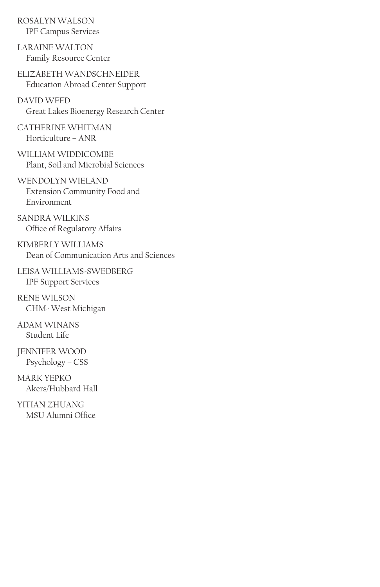ROSALYN WALSON IPF Campus Services

LARAINE WALTON Family Resource Center

ELIZABETH WANDSCHNEIDER Education Abroad Center Support

DAVID WEED Great Lakes Bioenergy Research Center

CATHERINE WHITMAN Horticulture – ANR

WILLIAM WIDDICOMBE Plant, Soil and Microbial Sciences

WENDOLYN WIELAND Extension Community Food and Environment

SANDRA WILKINS Office of Regulatory Affairs

KIMBERLY WILLIAMS Dean of Communication Arts and Sciences

LEISA WILLIAMS-SWEDBERG IPF Support Services

RENE WILSON CHM- West Michigan

ADAM WINANS Student Life

JENNIFER WOOD Psychology – CSS

MARK YEPKO Akers/Hubbard Hall

YITIAN ZHUANG MSU Alumni Office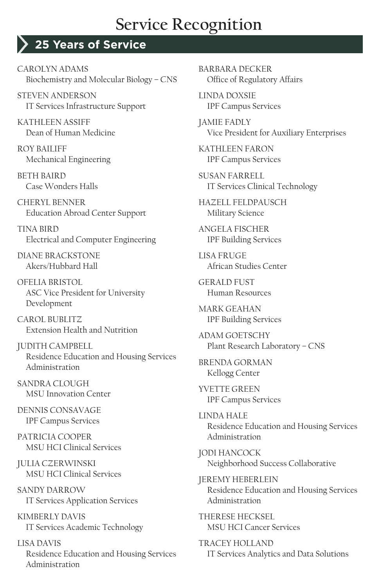### **25 Years of Service**

CAROLYN ADAMS Biochemistry and Molecular Biology – CNS

STEVEN ANDERSON IT Services Infrastructure Support

KATHLEEN ASSIFF Dean of Human Medicine

ROY BAILIFF Mechanical Engineering

BETH BAIRD Case Wonders Halls

CHERYL BENNER Education Abroad Center Support

TINA BIRD Electrical and Computer Engineering

DIANE BRACKSTONE Akers/Hubbard Hall

OFELIA BRISTOL ASC Vice President for University Development

CAROL BUBLITZ Extension Health and Nutrition

JUDITH CAMPBELL Residence Education and Housing Services Administration

SANDRA CLOUGH MSU Innovation Center

DENNIS CONSAVAGE IPF Campus Services

PATRICIA COOPER MSU HCI Clinical Services

JULIA CZERWINSKI MSU HCI Clinical Services

SANDY DARROW IT Services Application Services

KIMBERLY DAVIS IT Services Academic Technology

LISA DAVIS Residence Education and Housing Services Administration

BARBARA DECKER Office of Regulatory Affairs

LINDA DOXSIE IPF Campus Services

JAMIE FADLY Vice President for Auxiliary Enterprises

KATHLEEN FARON IPF Campus Services

SUSAN FARRELL IT Services Clinical Technology

HAZELL FELDPAUSCH Military Science

ANGELA FISCHER IPF Building Services

LISA FRUGE African Studies Center

GERALD FUST Human Resources

MARK GEAHAN IPF Building Services

ADAM GOETSCHY Plant Research Laboratory – CNS

BRENDA GORMAN Kellogg Center

YVETTE GREEN IPF Campus Services

LINDA HALE Residence Education and Housing Services Administration

JODI HANCOCK Neighborhood Success Collaborative

JEREMY HEBERLEIN Residence Education and Housing Services Administration

THERESE HECKSEL MSU HCI Cancer Services

TRACEY HOLLAND IT Services Analytics and Data Solutions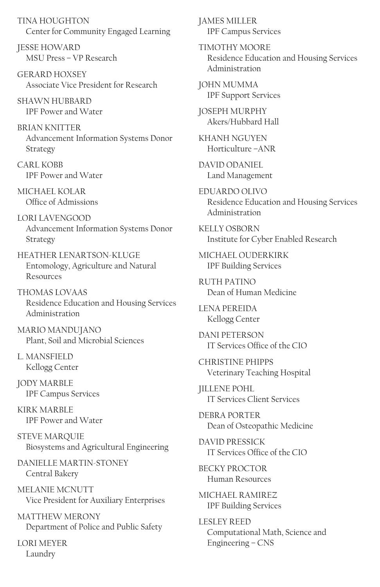TINA HOUGHTON Center for Community Engaged Learning

JESSE HOWARD MSU Press – VP Research

GERARD HOXSEY Associate Vice President for Research

SHAWN HUBBARD IPF Power and Water

BRIAN KNITTER Advancement Information Systems Donor Strategy

CARL KOBB IPF Power and Water

MICHAEL KOLAR Office of Admissions

LORI LAVENGOOD Advancement Information Systems Donor Strategy

HEATHER LENARTSON-KLUGE Entomology, Agriculture and Natural Resources

THOMAS LOVAAS Residence Education and Housing Services Administration

MARIO MANDUJANO Plant, Soil and Microbial Sciences

L. MANSFIELD Kellogg Center

JODY MARBLE IPF Campus Services

KIRK MARBLE IPF Power and Water

STEVE MARQUIE Biosystems and Agricultural Engineering

DANIELLE MARTIN-STONEY Central Bakery

MELANIE MCNUTT Vice President for Auxiliary Enterprises

MATTHEW MERONY Department of Police and Public Safety

LORI MEYER Laundry

JAMES MILLER IPF Campus Services

TIMOTHY MOORE Residence Education and Housing Services Administration

JOHN MUMMA IPF Support Services

JOSEPH MURPHY Akers/Hubbard Hall

KHANH NGUYEN Horticulture –ANR

DAVID ODANIEL Land Management

EDUARDO OLIVO Residence Education and Housing Services Administration

KELLY OSBORN Institute for Cyber Enabled Research

MICHAEL OUDERKIRK IPF Building Services

RUTH PATINO Dean of Human Medicine

LENA PEREIDA Kellogg Center

DANI PETERSON IT Services Office of the CIO

CHRISTINE PHIPPS Veterinary Teaching Hospital

JILLENE POHL IT Services Client Services

DEBRA PORTER Dean of Osteopathic Medicine

DAVID PRESSICK IT Services Office of the CIO

BECKY PROCTOR Human Resources

MICHAEL RAMIREZ IPF Building Services

LESLEY REED Computational Math, Science and Engineering – CNS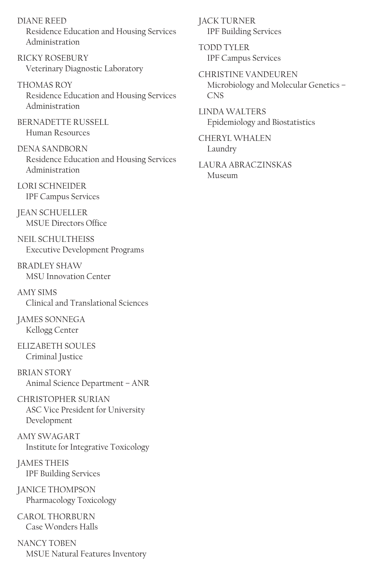DIANE REED Residence Education and Housing Services Administration

RICKY ROSEBURY Veterinary Diagnostic Laboratory

THOMAS ROY Residence Education and Housing Services Administration

BERNADETTE RUSSELL Human Resources

DENA SANDBORN Residence Education and Housing Services Administration

LORI SCHNEIDER IPF Campus Services

JEAN SCHUELLER MSUE Directors Office

NEIL SCHULTHEISS Executive Development Programs

BRADLEY SHAW MSU Innovation Center

AMY SIMS Clinical and Translational Sciences

JAMES SONNEGA Kellogg Center

ELIZABETH SOULES Criminal Justice

BRIAN STORY Animal Science Department – ANR

CHRISTOPHER SURIAN ASC Vice President for University Development

AMY SWAGART Institute for Integrative Toxicology

JAMES THEIS IPF Building Services

JANICE THOMPSON Pharmacology Toxicology

CAROL THORBURN Case Wonders Halls

NANCY TOBEN MSUE Natural Features Inventory JACK TURNER IPF Building Services

TODD TYLER IPF Campus Services

CHRISTINE VANDEUREN Microbiology and Molecular Genetics – CNS

LINDA WALTERS Epidemiology and Biostatistics

CHERYL WHALEN Laundry

LAURA ABRACZINSKAS Museum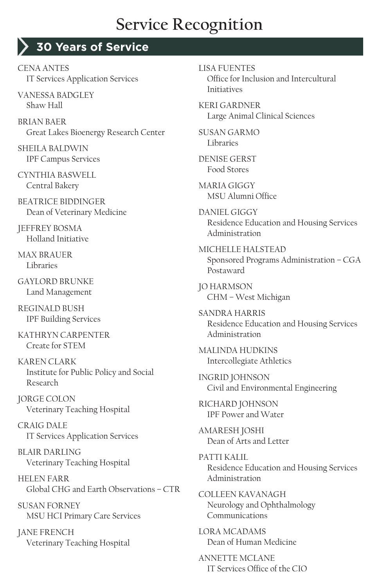#### **30 Years of Service**

CENA ANTES IT Services Application Services

VANESSA BADGLEY Shaw Hall

BRIAN BAER Great Lakes Bioenergy Research Center

SHEILA BALDWIN IPF Campus Services

CYNTHIA BASWELL Central Bakery

BEATRICE BIDDINGER Dean of Veterinary Medicine

JEFFREY BOSMA Holland Initiative

MAX BRAUER Libraries

GAYLORD BRUNKE Land Management

REGINALD BUSH IPF Building Services

KATHRYN CARPENTER Create for STEM

KAREN CLARK Institute for Public Policy and Social Research

JORGE COLON Veterinary Teaching Hospital

CRAIG DALE IT Services Application Services

BLAIR DARLING Veterinary Teaching Hospital

HELEN FARR Global CHG and Earth Observations – CTR

SUSAN FORNEY MSU HCI Primary Care Services

JANE FRENCH Veterinary Teaching Hospital LISA FUENTES

Office for Inclusion and Intercultural Initiatives

KERI GARDNER Large Animal Clinical Sciences

SUSAN GARMO Libraries

DENISE GERST Food Stores

MARIA GIGGY MSU Alumni Office

DANIEL GIGGY Residence Education and Housing Services Administration

MICHELLE HALSTEAD Sponsored Programs Administration – CGA Postaward

JO HARMSON CHM – West Michigan

SANDRA HARRIS Residence Education and Housing Services Administration

MALINDA HUDKINS Intercollegiate Athletics

INGRID JOHNSON Civil and Environmental Engineering

RICHARD JOHNSON IPF Power and Water

AMARESH JOSHI Dean of Arts and Letter

PATTI KALIL Residence Education and Housing Services Administration

COLLEEN KAVANAGH Neurology and Ophthalmology Communications

LORA MCADAMS Dean of Human Medicine

ANNETTE MCLANE IT Services Office of the CIO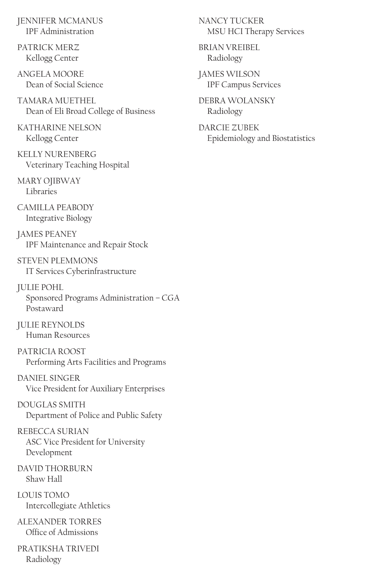JENNIFER MCMANUS IPF Administration

PATRICK MERZ Kellogg Center

ANGELA MOORE Dean of Social Science

TAMARA MUETHEL Dean of Eli Broad College of Business

KATHARINE NELSON Kellogg Center

KELLY NURENBERG Veterinary Teaching Hospital

MARY OJIBWAY Libraries

CAMILLA PEARODY Integrative Biology

JAMES PEANEY IPF Maintenance and Repair Stock

STEVEN PLEMMONS IT Services Cyberinfrastructure

JULIE POHL Sponsored Programs Administration – CGA Postaward

JULIE REYNOLDS Human Resources

PATRICIA ROOST Performing Arts Facilities and Programs

DANIEL SINGER Vice President for Auxiliary Enterprises

DOUGLAS SMITH Department of Police and Public Safety

REBECCA SURIAN ASC Vice President for University Development

DAVID THORBURN Shaw Hall

LOUIS TOMO Intercollegiate Athletics

ALEXANDER TORRES Office of Admissions

PRATIKSHA TRIVEDI Radiology

NANCY TUCKER MSU HCI Therapy Services

BRIAN VREIBEL Radiology

JAMES WILSON IPF Campus Services

DEBRA WOLANSKY Radiology

DARCIE ZUBEK Epidemiology and Biostatistics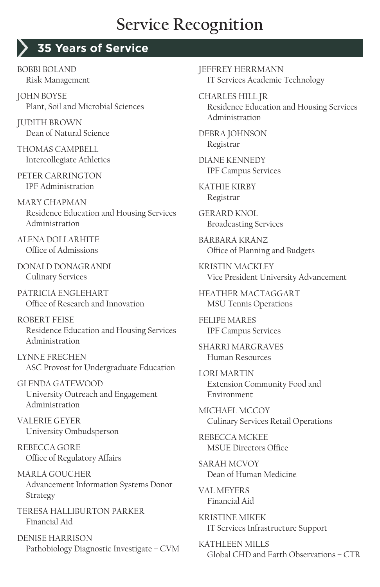#### **35 Years of Service**

BOBBI BOLAND Risk Management

JOHN BOYSE Plant, Soil and Microbial Sciences

JUDITH BROWN Dean of Natural Science

THOMAS CAMPRELL Intercollegiate Athletics

PETER CARRINGTON IPF Administration

MARY CHAPMAN Residence Education and Housing Services Administration

ALENA DOLLARHITE Office of Admissions

DONALD DONAGRANDI Culinary Services

PATRICIA ENGLEHART Office of Research and Innovation

ROBERT FEISE Residence Education and Housing Services Administration

LYNNE FRECHEN ASC Provost for Undergraduate Education

GLENDA GATEWOOD University Outreach and Engagement Administration

VALERIE GEYER University Ombudsperson

REBECCA GORE Office of Regulatory Affairs

MARLA GOUCHER Advancement Information Systems Donor Strategy

TERESA HALLIBURTON PARKER Financial Aid

DENISE HARRISON Pathobiology Diagnostic Investigate – CVM JEFFREY HERRMANN IT Services Academic Technology

CHARLES HILL JR Residence Education and Housing Services Administration

DEBRA JOHNSON Registrar

DIANE KENNEDY IPF Campus Services

KATHIE KIRBY Registrar

GERARD KNOL Broadcasting Services

BARBARA KRANZ Office of Planning and Budgets

KRISTIN MACKLEY Vice President University Advancement

HEATHER MACTAGGART MSU Tennis Operations

FELIPE MARES IPF Campus Services

SHARRI MARGRAVES Human Resources

LORI MARTIN Extension Community Food and Environment

MICHAEL MCCOY Culinary Services Retail Operations

REBECCA MCKEE MSUE Directors Office

SARAH MCVOY Dean of Human Medicine

VAL MEYERS Financial Aid

KRISTINE MIKEK IT Services Infrastructure Support

KATHLEEN MILLS Global CHD and Earth Observations – CTR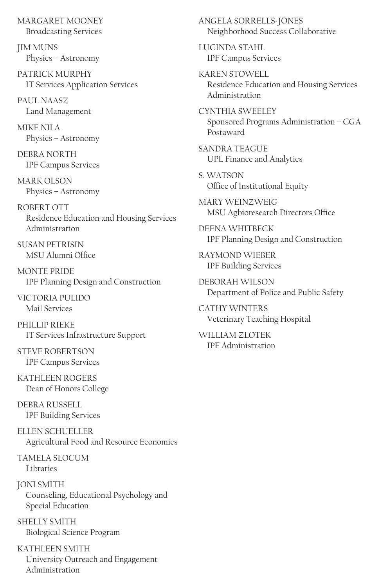MARGARET MOONEY Broadcasting Services

JIM MUNS Physics – Astronomy

PATRICK MURPHY IT Services Application Services

PAUL NAASZ Land Management

MIKE NII A Physics – Astronomy

DEBRA NORTH IPF Campus Services

MARK OLSON Physics – Astronomy

ROBERT OTT Residence Education and Housing Services Administration

SUSAN PETRISIN MSU Alumni Office

MONTE PRIDE IPF Planning Design and Construction

VICTORIA PULIDO Mail Services

PHILLIP RIEKE IT Services Infrastructure Support

STEVE ROBERTSON IPF Campus Services

KATHLEEN ROGERS Dean of Honors College

DEBRA RUSSELL IPF Building Services

ELLEN SCHUELLER Agricultural Food and Resource Economics

TAMELA SLOCUM Libraries

JONI SMITH Counseling, Educational Psychology and Special Education

SHELLY SMITH Biological Science Program

KATHLEEN SMITH University Outreach and Engagement Administration

ANGELA SORRELLS-JONES Neighborhood Success Collaborative

LUCINDA STAHL IPF Campus Services

KAREN STOWELL Residence Education and Housing Services Administration

CYNTHIA SWEELEY Sponsored Programs Administration – CGA Postaward

SANDRA TEAGUE UPL Finance and Analytics

S. WATSON Office of Institutional Equity

MARY WEINZWEIG MSU Agbioresearch Directors Office

DEENA WHITBECK IPF Planning Design and Construction

RAYMOND WIEBER IPF Building Services

DEBORAH WILSON Department of Police and Public Safety

CATHY WINTERS Veterinary Teaching Hospital

WILLIAM ZLOTEK IPF Administration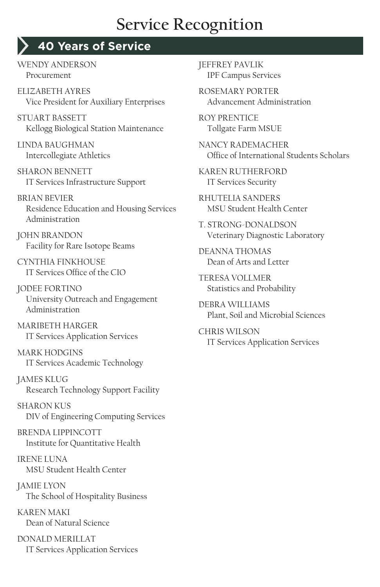# **40 Years of Service**

WENDY ANDERSON Procurement

ELIZABETH AYRES Vice President for Auxiliary Enterprises

STUART BASSETT Kellogg Biological Station Maintenance

LINDA BAUGHMAN Intercollegiate Athletics

SHARON BENNETT IT Services Infrastructure Support

BRIAN BEVIER Residence Education and Housing Services Administration

JOHN BRANDON Facility for Rare Isotope Beams

CYNTHIA FINKHOUSE IT Services Office of the CIO

JODEE FORTINO University Outreach and Engagement Administration

MARIBETH HARGER IT Services Application Services

MARK HODGINS IT Services Academic Technology

JAMES KLUG Research Technology Support Facility

SHARON KUS DIV of Engineering Computing Services

BRENDA LIPPINCOTT Institute for Quantitative Health

IRENE LUNA MSU Student Health Center

JAMIE LYON The School of Hospitality Business

KAREN MAKI Dean of Natural Science

DONALD MERILLAT IT Services Application Services JEFFREY PAVLIK IPF Campus Services

ROSEMARY PORTER Advancement Administration

ROY PRENTICE Tollgate Farm MSUE

NANCY RADEMACHER Office of International Students Scholars

KAREN RUTHERFORD IT Services Security

RHUTELIA SANDERS MSU Student Health Center

T. STRONG-DONALDSON Veterinary Diagnostic Laboratory

DEANNA THOMAS Dean of Arts and Letter

TERESA VOLLMER Statistics and Probability

DEBRA WILLIAMS Plant, Soil and Microbial Sciences

CHRIS WILSON IT Services Application Services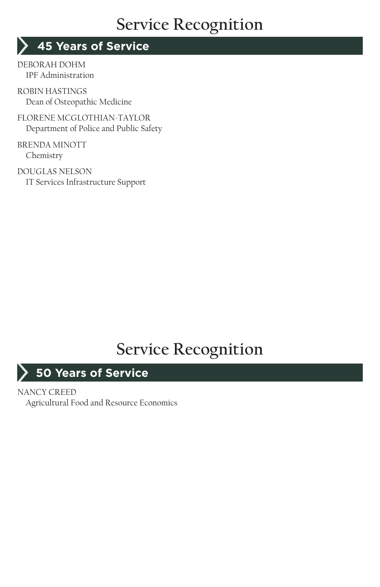#### **45 Years of Service**

DEBORAH DOHM IPF Administration

ROBIN HASTINGS Dean of Osteopathic Medicine

FLORENE MCGLOTHIAN-TAYLOR Department of Police and Public Safety

BRENDA MINOTT Chemistry

DOUGLAS NELSON IT Services Infrastructure Support

# **Service Recognition**

#### **50 Years of Service**

#### NANCY CREED

Agricultural Food and Resource Economics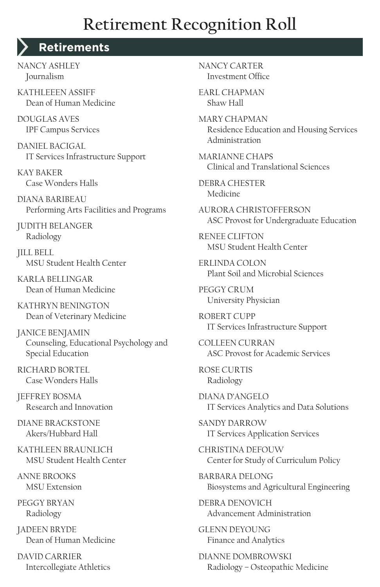# **Retirement Recognition Roll**

#### **Retirements**

NANCY ASHLEY Journalism

KATHLEEEN ASSIFF Dean of Human Medicine

DOUGLAS AVES IPF Campus Services

DANIEL BACIGAL IT Services Infrastructure Support

KAY BAKER Case Wonders Halls

DIANA BARIBEAU Performing Arts Facilities and Programs

JUDITH BELANGER Radiology

JILL BELL MSU Student Health Center

KARLA BELLINGAR Dean of Human Medicine

KATHRYN BENINGTON Dean of Veterinary Medicine

JANICE BENJAMIN Counseling, Educational Psychology and Special Education

RICHARD BORTEL Case Wonders Halls

JEFFREY BOSMA Research and Innovation

DIANE BRACKSTONE Akers/Hubbard Hall

KATHLEEN BRAUNLICH MSU Student Health Center

ANNE BROOKS MSU Extension

PEGGY BRYAN Radiology

JADEEN BRYDE Dean of Human Medicine

DAVID CARRIER Intercollegiate Athletics NANCY CARTER Investment Office

EARL CHAPMAN Shaw Hall

MARY CHAPMAN Residence Education and Housing Services Administration

MARIANNE CHAPS Clinical and Translational Sciences

DEBRA CHESTER Medicine

AURORA CHRISTOFFERSON ASC Provost for Undergraduate Education

RENEE CLIFTON MSU Student Health Center

ERLINDA COLON Plant Soil and Microbial Sciences

PEGGY CRUM University Physician

ROBERT CUPP IT Services Infrastructure Support

COLLEEN CURRAN ASC Provost for Academic Services

ROSE CURTIS Radiology

DIANA D'ANGELO IT Services Analytics and Data Solutions

SANDY DARROW IT Services Application Services

CHRISTINA DEFOUW Center for Study of Curriculum Policy

BARBARA DELONG Biosystems and Agricultural Engineering

DEBRA DENOVICH Advancement Administration

GLENN DEYOUNG Finance and Analytics

DIANNE DOMBROWSKI Radiology – Osteopathic Medicine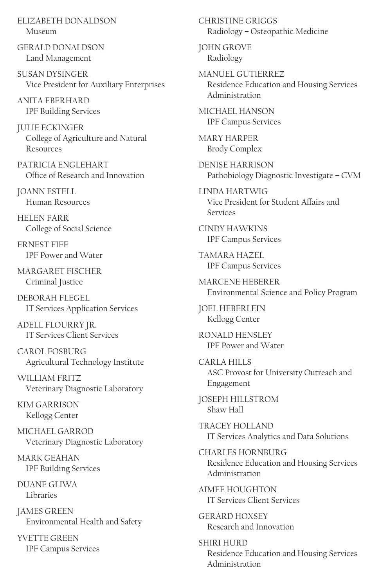ELIZABETH DONALDSON Museum

GERALD DONALDSON Land Management

SUSAN DYSINGER Vice President for Auxiliary Enterprises

ANITA EBERHARD IPF Building Services

JULIE ECKINGER College of Agriculture and Natural Resources

PATRICIA ENGI EHART Office of Research and Innovation

JOANN ESTELL Human Resources

HELEN FARR College of Social Science

ERNEST FIFE IPF Power and Water

MARGARET FISCHER Criminal Justice

DEBOR AH ELEGEL IT Services Application Services

ADELL FLOURRY JR. IT Services Client Services

CAROL FOSBURG Agricultural Technology Institute

WILLIAM FRITZ Veterinary Diagnostic Laboratory

KIM GARRISON Kellogg Center

MICHAEL GARROD Veterinary Diagnostic Laboratory

MARK GEAHAN IPF Building Services

DUANE GLIWA Libraries

JAMES GREEN Environmental Health and Safety

YVETTE GREEN IPF Campus Services CHRISTINE GRIGGS Radiology – Osteopathic Medicine

JOHN GROVE Radiology

MANUEL GUTIERREZ Residence Education and Housing Services Administration

MICHAEL HANSON IPF Campus Services

MARY HARPER Brody Complex

DENISE HARRISON Pathobiology Diagnostic Investigate – CVM

LINDA HARTWIG Vice President for Student Affairs and Services

CINDY HAWKINS IPF Campus Services

TAMARA HAZEL IPF Campus Services

MARCENE HEBERER Environmental Science and Policy Program

JOEL HEBERLEIN Kellogg Center

RONALD HENSLEY IPF Power and Water

CARLA HILLS ASC Provost for University Outreach and Engagement

JOSEPH HILLSTROM Shaw Hall

TRACEY HOLLAND IT Services Analytics and Data Solutions

CHARLES HORNBURG Residence Education and Housing Services Administration

AIMEE HOUGHTON IT Services Client Services

GERARD HOXSEY Research and Innovation

SHIRI HURD Residence Education and Housing Services Administration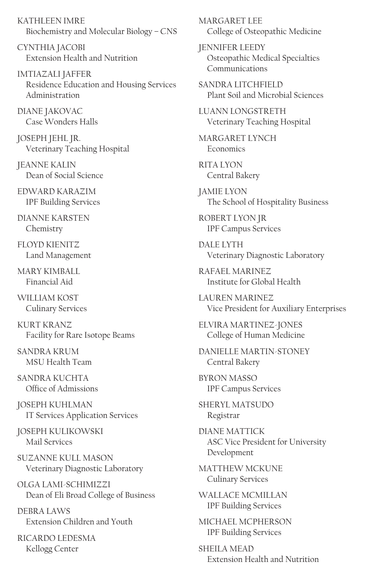KATHLEEN IMRE Biochemistry and Molecular Biology – CNS

CYNTHIA JACOBI Extension Health and Nutrition

IMTIAZALI JAFFER Residence Education and Housing Services Administration

DIANE JAKOVAC Case Wonders Halls

JOSEPH JEHL JR. Veterinary Teaching Hospital

JEANNE KALIN Dean of Social Science

EDWARD KARAZIM IPF Building Services

DIANNE KARSTEN Chemistry

FLOYD KIENITZ Land Management

MARY KIMBALL Financial Aid

WILLIAM KOST Culinary Services

KURT KRANZ Facility for Rare Isotope Beams

SANDRA KRUM MSU Health Team

SANDRA KUCHTA Office of Admissions

JOSEPH KUHLMAN IT Services Application Services

JOSEPH KULIKOWSKI Mail Services

SUZANNE KULL MASON Veterinary Diagnostic Laboratory

OLGA LAMI-SCHIMIZZI Dean of Eli Broad College of Business

DEBRA LAWS Extension Children and Youth

RICARDO LEDESMA Kellogg Center

MARGARET LEE College of Osteopathic Medicine

JENNIFER LEEDY Osteopathic Medical Specialties Communications

SANDRA LITCHFIELD Plant Soil and Microbial Sciences

LUANN LONGSTRETH Veterinary Teaching Hospital

MARGARET LYNCH Economics

RITA I YON Central Bakery

JAMIE LYON The School of Hospitality Business

ROBERT LYON JR IPF Campus Services

DALE LYTH Veterinary Diagnostic Laboratory

RAFAEL MARINEZ Institute for Global Health

LAUREN MARINEZ Vice President for Auxiliary Enterprises

ELVIRA MARTINEZ-JONES College of Human Medicine

DANIELLE MARTIN-STONEY Central Bakery

BYRON MASSO IPF Campus Services

SHERYL MATSUDO Registrar

DIANE MATTICK ASC Vice President for University Development

MATTHEW MCKUNE Culinary Services

WALLACE MCMILLAN IPF Building Services

MICHAEL MCPHERSON IPF Building Services

SHEILA MEAD Extension Health and Nutrition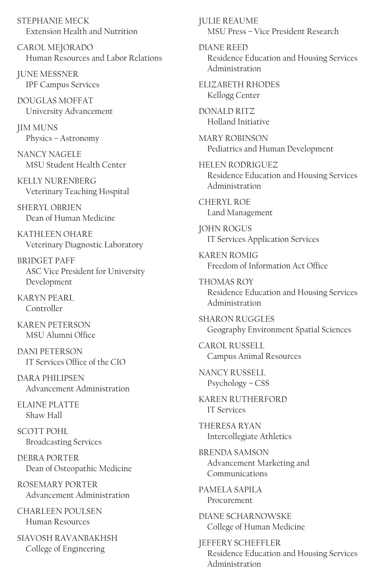STEPHANIE MECK Extension Health and Nutrition

CAROL MEJORADO Human Resources and Labor Relations

JUNE MESSNER IPF Campus Services

DOUGLAS MOFFAT University Advancement

JIM MUNS Physics – Astronomy

NANCY NAGELE MSU Student Health Center

KELLY NURENBERG Veterinary Teaching Hospital

SHERYL OBRIEN Dean of Human Medicine

KATHI FFN OHARF Veterinary Diagnostic Laboratory

BRIDGET PAFF ASC Vice President for University Development

KARYN PEARL Controller

KAREN PETERSON MSU Alumni Office

DANI PETERSON IT Services Office of the CIO

DARA PHILIPSEN Advancement Administration

ELAINE PLATTE Shaw Hall

SCOTT POHL Broadcasting Services

DEBRA PORTER Dean of Osteopathic Medicine

ROSEMARY PORTER Advancement Administration

CHARI FEN POULSEN Human Resources

SIAVOSH RAVANBAKHSH College of Engineering

JULIE REAUME MSU Press – Vice President Research

DIANE REED Residence Education and Housing Services Administration

ELIZABETH RHODES Kellogg Center

DONALD RITZ Holland Initiative

MARY ROBINSON Pediatrics and Human Development

HELEN RODRIGUEZ Residence Education and Housing Services Administration

CHERYL ROE Land Management

JOHN ROGUS IT Services Application Services

KAREN ROMIG Freedom of Information Act Office

THOMAS ROY Residence Education and Housing Services Administration

SHARON RUGGLES Geography Environment Spatial Sciences

CAROL RUSSELL Campus Animal Resources

NANCY RUSSELL Psychology – CSS

KAREN RUTHERFORD IT Services

THERESA RYAN Intercollegiate Athletics

BRENDA SAMSON Advancement Marketing and Communications

PAMELA SAPILA Procurement

DIANE SCHARNOWSKE College of Human Medicine

JEFFERY SCHEFFLER Residence Education and Housing Services Administration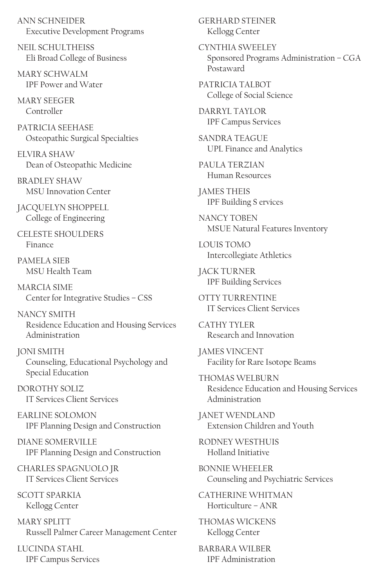ANN SCHNEIDER Executive Development Programs

NEIL SCHULTHEISS Eli Broad College of Business

MARY SCHWALM IPF Power and Water

MARY SEEGER Controller

PATRICIA SEEHASE Osteopathic Surgical Specialties

ELVIRA SHAW Dean of Osteopathic Medicine

BRADLEY SHAW MSU Innovation Center

JACQUELYN SHOPPELL College of Engineering

CELESTE SHOULDERS Finance

PAMELA SIEB MSU Health Team

MARCIA SIME Center for Integrative Studies – CSS

NANCY SMITH Residence Education and Housing Services Administration

JONI SMITH Counseling, Educational Psychology and Special Education

DOROTHY SOLIZ IT Services Client Services

EARLINE SOLOMON IPF Planning Design and Construction

DIANE SOMERVILLE IPF Planning Design and Construction

CHARLES SPAGNUOLO JR IT Services Client Services

SCOTT SPARKIA Kellogg Center

MARY SPLITT Russell Palmer Career Management Center

LUCINDA STAHL IPF Campus Services GERHARD STEINER Kellogg Center

CYNTHIA SWEELEY Sponsored Programs Administration – CGA Postaward

PATRICIA TALBOT College of Social Science

DARRYL TAYLOR IPF Campus Services

SANDRA TEAGUE UPL Finance and Analytics

PAULA TERZIAN Human Resources

JAMES THEIS IPF Building S ervices

NANCY TOBEN MSUE Natural Features Inventory

LOUIS TOMO Intercollegiate Athletics

JACK TURNER IPF Building Services

OTTY TURRENTINE IT Services Client Services

CATHY TYLER Research and Innovation

JAMES VINCENT Facility for Rare Isotope Beams

THOMAS WELBURN Residence Education and Housing Services Administration

JANET WENDLAND Extension Children and Youth

RODNEY WESTHUIS Holland Initiative

BONNIE WHEELER Counseling and Psychiatric Services

CATHERINE WHITMAN Horticulture – ANR

THOMAS WICKENS Kellogg Center

BARBARA WILBER IPF Administration